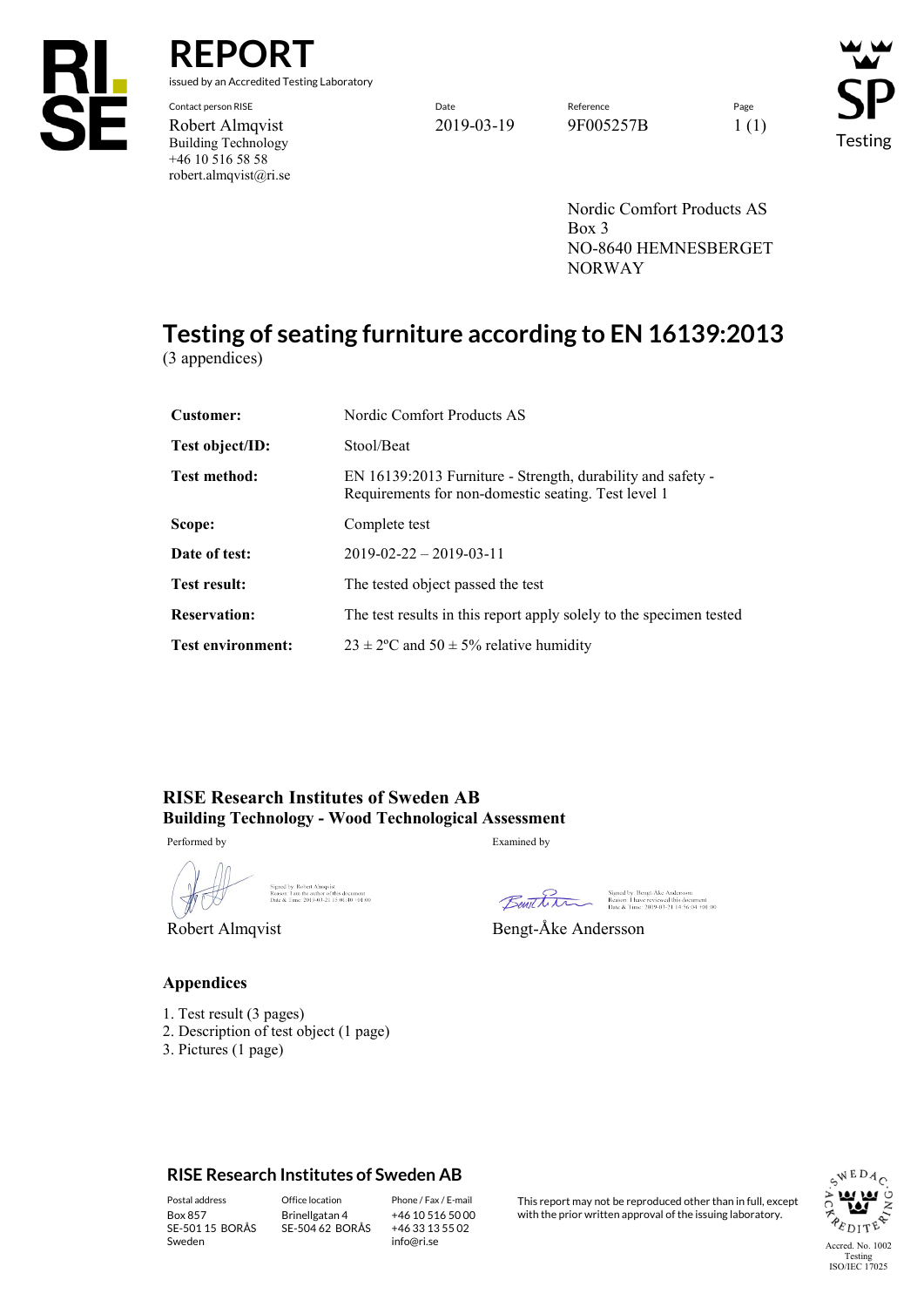

**REPORT**

issued by an Accredited Testing Laboratory

Building Technology +46 10 516 58 58 robert.almqvist@ri.se

Contact person RISE Page Reference Reference Reference Page Reference Page Reference Page Reference Page Reference Robert Almqvist 2019-03-19 9F005257B 1 (1)

Testing

Nordic Comfort Products AS Box 3 NO-8640 HEMNESBERGET NORWAY

# **Testing of seating furniture according to EN 16139:2013**

(3 appendices)

| <b>Customer:</b>         | Nordic Comfort Products AS                                                                                         |  |
|--------------------------|--------------------------------------------------------------------------------------------------------------------|--|
| Test object/ID:          | Stool/Beat                                                                                                         |  |
| <b>Test method:</b>      | EN 16139:2013 Furniture - Strength, durability and safety -<br>Requirements for non-domestic seating. Test level 1 |  |
| Scope:                   | Complete test                                                                                                      |  |
| Date of test:            | $2019 - 02 - 22 - 2019 - 03 - 11$                                                                                  |  |
| <b>Test result:</b>      | The tested object passed the test                                                                                  |  |
| <b>Reservation:</b>      | The test results in this report apply solely to the specimen tested                                                |  |
| <b>Test environment:</b> | $23 \pm 2$ °C and $50 \pm 5$ % relative humidity                                                                   |  |

**RISE Research Institutes of Sweden AB Building Technology - Wood Technological Assessment**

Performed by Examined by

Signed by: Robert Almqvist<br>Reason: I am the author of this document<br>Date & Time: 2019-03-21 15:01:40 +01:00  $\mathcal{S}$  signature 2  $\mathcal{S}$  signature 2  $\mathcal{S}$  signature 2  $\mathcal{S}$  signature 2  $\mathcal{S}$ 

# Benthin

Signed by: Bengt-Åke Andersson<br>Reason: I have reviewed this document<br>Date & Time: 2019-03-21 14:56:04 +01:00

Robert Almqvist Bengt-Åke Andersson

#### **Appendices**

- 1. Test result (3 pages)
- 2. Description of test object (1 page)
- 3. Pictures (1 page)

#### **RISE Research Institutes of Sweden AB**

SE-501 15 BORÅS Sweden

Brinellgatan 4 SE-504 62 BORÅS

+46 10 516 50 00 +46 33 13 55 02 info@ri.se

Postal address Office location Phone / Fax / E-mail This report may not be reproduced other than in full, except<br>Box 857 Brinellgatan 4 +46 10 516 50 00 with the prior written approval of the issuing laboratory. with the prior written approval of the issuing laboratory.

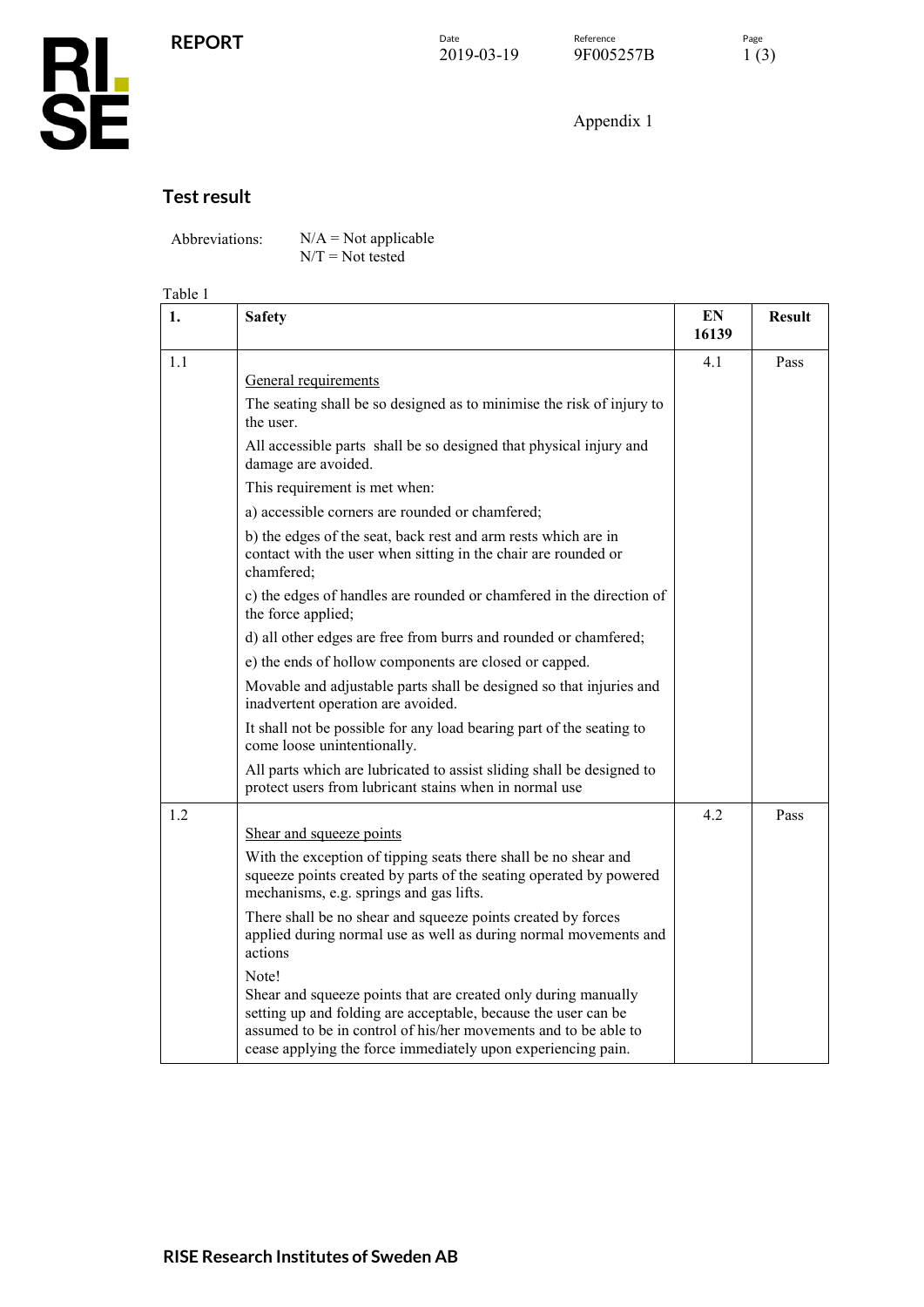

### Appendix 1

### **Test result**

Abbreviations:  $N/A = Not applicable$ 

 $N/T = Not$  tested

#### Table 1

| 1.  | <b>Safety</b>                                                                                                                                                                                                                                                                | EN<br>16139 | <b>Result</b> |
|-----|------------------------------------------------------------------------------------------------------------------------------------------------------------------------------------------------------------------------------------------------------------------------------|-------------|---------------|
| 1.1 |                                                                                                                                                                                                                                                                              | 4.1         | Pass          |
|     | General requirements                                                                                                                                                                                                                                                         |             |               |
|     | The seating shall be so designed as to minimise the risk of injury to<br>the user.                                                                                                                                                                                           |             |               |
|     | All accessible parts shall be so designed that physical injury and<br>damage are avoided.                                                                                                                                                                                    |             |               |
|     | This requirement is met when:                                                                                                                                                                                                                                                |             |               |
|     | a) accessible corners are rounded or chamfered;                                                                                                                                                                                                                              |             |               |
|     | b) the edges of the seat, back rest and arm rests which are in<br>contact with the user when sitting in the chair are rounded or<br>chamfered;                                                                                                                               |             |               |
|     | c) the edges of handles are rounded or chamfered in the direction of<br>the force applied;                                                                                                                                                                                   |             |               |
|     | d) all other edges are free from burrs and rounded or chamfered;                                                                                                                                                                                                             |             |               |
|     | e) the ends of hollow components are closed or capped.                                                                                                                                                                                                                       |             |               |
|     | Movable and adjustable parts shall be designed so that injuries and<br>inadvertent operation are avoided.                                                                                                                                                                    |             |               |
|     | It shall not be possible for any load bearing part of the seating to<br>come loose unintentionally.                                                                                                                                                                          |             |               |
|     | All parts which are lubricated to assist sliding shall be designed to<br>protect users from lubricant stains when in normal use                                                                                                                                              |             |               |
| 1.2 |                                                                                                                                                                                                                                                                              | 4.2         | Pass          |
|     | Shear and squeeze points                                                                                                                                                                                                                                                     |             |               |
|     | With the exception of tipping seats there shall be no shear and<br>squeeze points created by parts of the seating operated by powered<br>mechanisms, e.g. springs and gas lifts.                                                                                             |             |               |
|     | There shall be no shear and squeeze points created by forces<br>applied during normal use as well as during normal movements and<br>actions                                                                                                                                  |             |               |
|     | Note!<br>Shear and squeeze points that are created only during manually<br>setting up and folding are acceptable, because the user can be<br>assumed to be in control of his/her movements and to be able to<br>cease applying the force immediately upon experiencing pain. |             |               |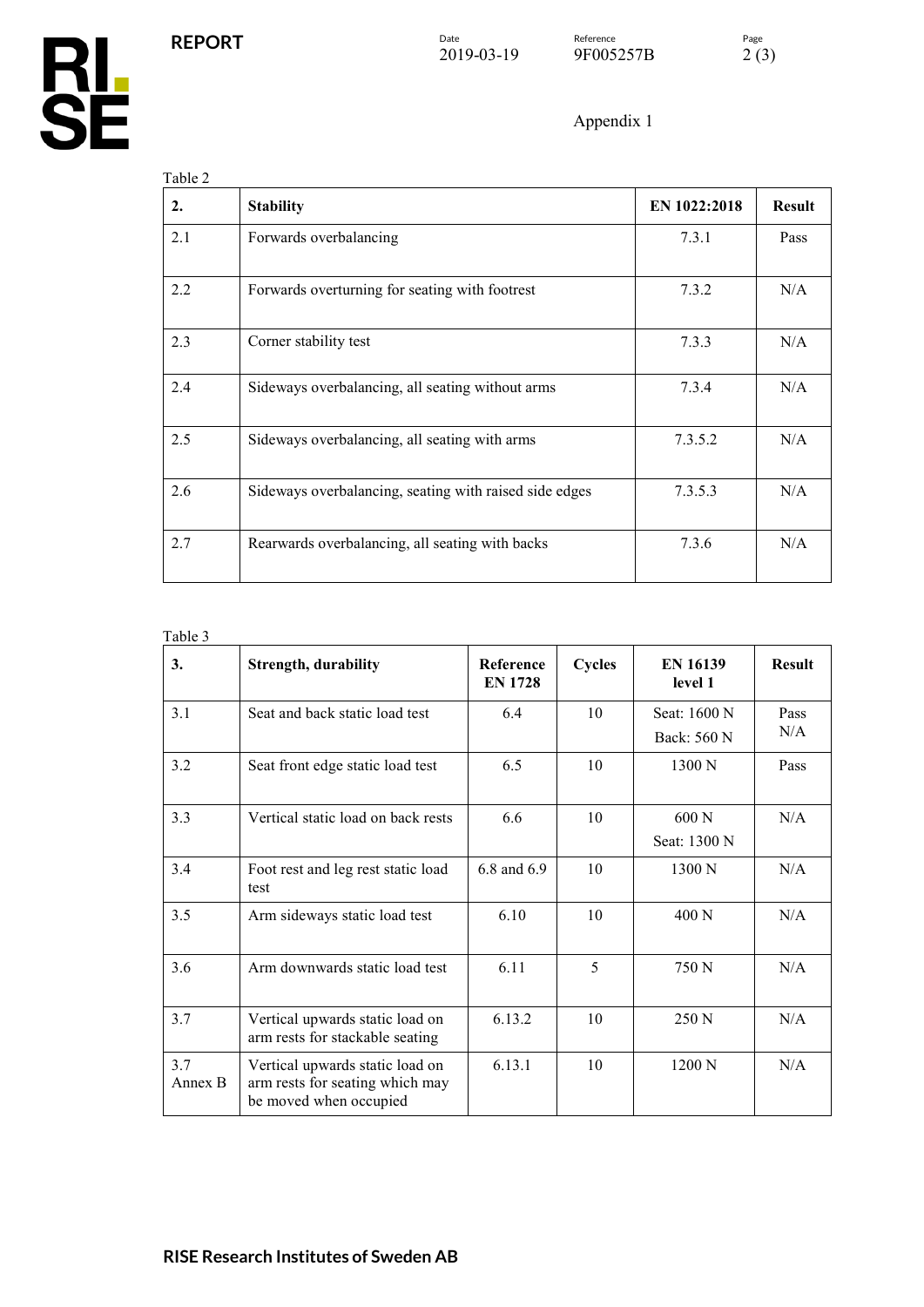**RL<br>SE** 

Appendix 1

| 2.  | <b>Stability</b>                                       | EN 1022:2018 | <b>Result</b> |
|-----|--------------------------------------------------------|--------------|---------------|
| 2.1 | Forwards overbalancing                                 | 7.3.1        | Pass          |
| 2.2 | Forwards overturning for seating with footrest         | 7.3.2        | N/A           |
| 2.3 | Corner stability test                                  | 7.3.3        | N/A           |
| 2.4 | Sideways overbalancing, all seating without arms       | 7.3.4        | N/A           |
| 2.5 | Sideways overbalancing, all seating with arms          | 7.3.5.2      | N/A           |
| 2.6 | Sideways overbalancing, seating with raised side edges | 7.3.5.3      | N/A           |
| 2.7 | Rearwards overbalancing, all seating with backs        | 7.3.6        | N/A           |

#### Table 3

| 3.             | <b>Strength, durability</b>                                                                  | <b>Reference</b><br><b>EN 1728</b> | <b>Cycles</b> | <b>EN 16139</b><br>level 1  | <b>Result</b> |
|----------------|----------------------------------------------------------------------------------------------|------------------------------------|---------------|-----------------------------|---------------|
| 3.1            | Seat and back static load test                                                               | 6.4                                | 10            | Seat: 1600 N<br>Back: 560 N | Pass<br>N/A   |
| 3.2            | Seat front edge static load test                                                             | 6.5                                | 10            | 1300 N                      | Pass          |
| 3.3            | Vertical static load on back rests                                                           | 6.6                                | 10            | 600 N<br>Seat: 1300 N       | N/A           |
| 3.4            | Foot rest and leg rest static load<br>test                                                   | 6.8 and 6.9                        | 10            | 1300 N                      | N/A           |
| 3.5            | Arm sideways static load test                                                                | 6.10                               | 10            | 400 N                       | N/A           |
| 3.6            | Arm downwards static load test                                                               | 6.11                               | 5             | 750 N                       | N/A           |
| 3.7            | Vertical upwards static load on<br>arm rests for stackable seating                           | 6.13.2                             | 10            | 250 N                       | N/A           |
| 3.7<br>Annex B | Vertical upwards static load on<br>arm rests for seating which may<br>be moved when occupied | 6.13.1                             | 10            | 1200 N                      | N/A           |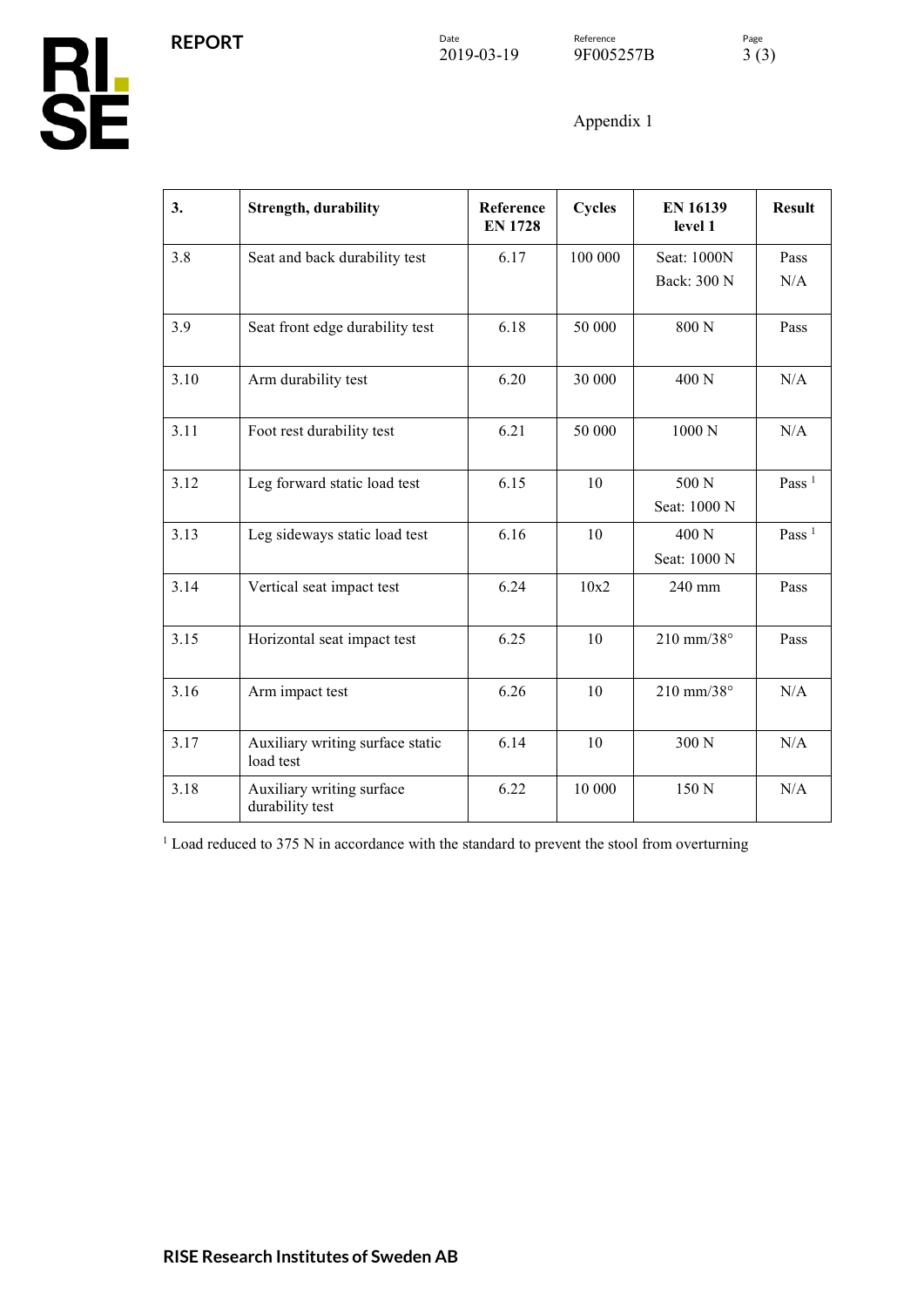$\begin{array}{lll} \textcolor{red}{\textbf{Date}} & \textcolor{red}{\textbf{Reference}} & \textcolor{red}{\textbf{Page}} \\ 2019\text{-}03\text{-}19 & 9 \textcolor{red}{\textbf{F005257B}} & 3 \textcolor{red}{(3)} \end{array}$ 9F005257B

Appendix 1

| 3.   | <b>Strength, durability</b>                   | Reference<br><b>EN 1728</b> | <b>Cycles</b> | <b>EN 16139</b><br>level 1 | <b>Result</b>     |
|------|-----------------------------------------------|-----------------------------|---------------|----------------------------|-------------------|
| 3.8  | Seat and back durability test                 | 6.17                        | 100 000       | Seat: 1000N<br>Back: 300 N | Pass<br>N/A       |
|      |                                               |                             |               |                            |                   |
| 3.9  | Seat front edge durability test               | 6.18                        | 50 000        | 800 N                      | Pass              |
| 3.10 | Arm durability test                           | 6.20                        | 30 000        | 400 N                      | N/A               |
| 3.11 | Foot rest durability test                     | 6.21                        | 50 000        | 1000N                      | N/A               |
| 3.12 | Leg forward static load test                  | 6.15                        | 10            | 500 N<br>Seat: 1000 N      | Pass $1$          |
| 3.13 | Leg sideways static load test                 | 6.16                        | 10            | 400 N<br>Seat: 1000 N      | Pass <sup>1</sup> |
| 3.14 | Vertical seat impact test                     | 6.24                        | 10x2          | 240 mm                     | Pass              |
| 3.15 | Horizontal seat impact test                   | 6.25                        | 10            | $210$ mm/38 $^{\circ}$     | Pass              |
| 3.16 | Arm impact test                               | 6.26                        | 10            | 210 mm/38°                 | N/A               |
| 3.17 | Auxiliary writing surface static<br>load test | 6.14                        | 10            | 300 N                      | N/A               |
| 3.18 | Auxiliary writing surface<br>durability test  | 6.22                        | 10 000        | 150 N                      | N/A               |

<sup>1</sup> Load reduced to 375 N in accordance with the standard to prevent the stool from overturning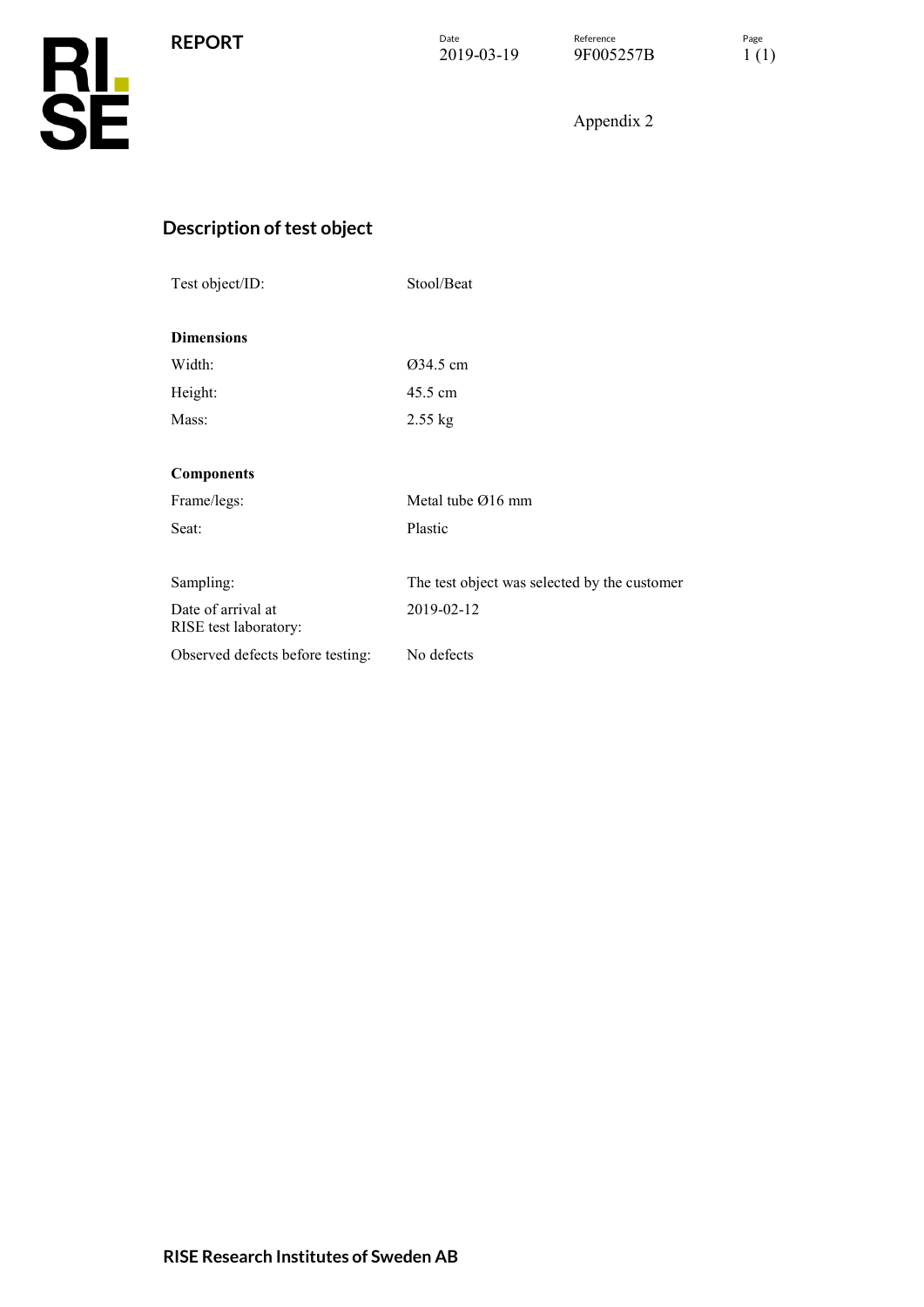**REPORT**

Appendix 2

## **Description of test object**

| Test object/ID:                             | Stool/Beat                                   |  |  |  |
|---------------------------------------------|----------------------------------------------|--|--|--|
| <b>Dimensions</b>                           |                                              |  |  |  |
| Width:                                      | 034.5 cm                                     |  |  |  |
| Height:                                     | 45.5 cm                                      |  |  |  |
| Mass:                                       | $2.55$ kg                                    |  |  |  |
|                                             |                                              |  |  |  |
| <b>Components</b>                           |                                              |  |  |  |
| Frame/legs:                                 | Metal tube $\varnothing$ 16 mm               |  |  |  |
| Seat:                                       | Plastic                                      |  |  |  |
|                                             |                                              |  |  |  |
| Sampling:                                   | The test object was selected by the customer |  |  |  |
| Date of arrival at<br>RISE test laboratory: | 2019-02-12                                   |  |  |  |
| Observed defects before testing:            | No defects                                   |  |  |  |
|                                             |                                              |  |  |  |